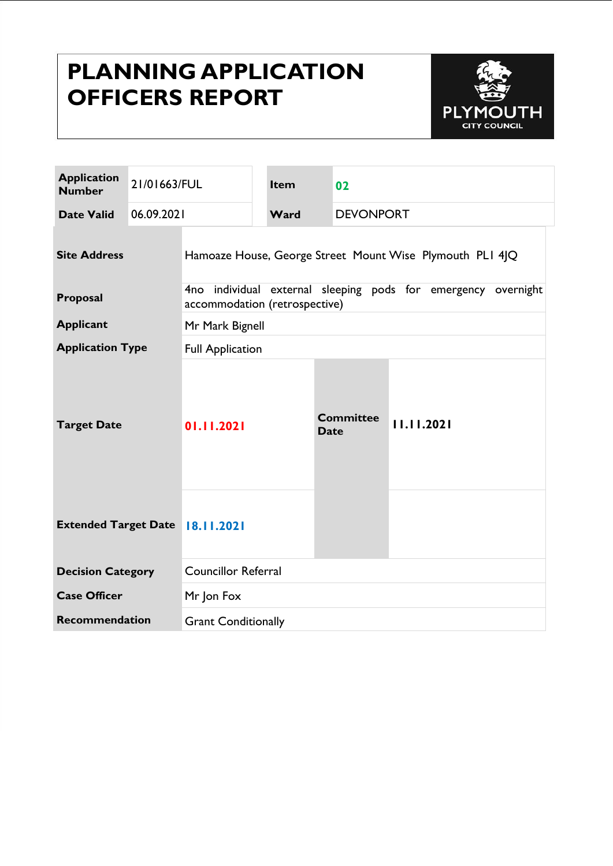# **PLANNING APPLICATION OFFICERS REPORT**



| <b>Application</b><br><b>Number</b>     | 21/01663/FUL |                                                                                                   | <b>Item</b> |                  | 02               |            |
|-----------------------------------------|--------------|---------------------------------------------------------------------------------------------------|-------------|------------------|------------------|------------|
| <b>Date Valid</b>                       | 06.09.2021   |                                                                                                   | Ward        | <b>DEVONPORT</b> |                  |            |
| <b>Site Address</b>                     |              | Hamoaze House, George Street Mount Wise Plymouth PLI 4JQ                                          |             |                  |                  |            |
| Proposal                                |              | 4no individual<br>external sleeping pods for emergency overnight<br>accommodation (retrospective) |             |                  |                  |            |
| <b>Applicant</b>                        |              | Mr Mark Bignell                                                                                   |             |                  |                  |            |
| <b>Application Type</b>                 |              | <b>Full Application</b>                                                                           |             |                  |                  |            |
| <b>Target Date</b>                      |              | 01.11.2021                                                                                        |             | <b>Date</b>      | <b>Committee</b> | 11.11.2021 |
| <b>Extended Target Date</b>   8.11.2021 |              |                                                                                                   |             |                  |                  |            |
| <b>Decision Category</b>                |              | <b>Councillor Referral</b>                                                                        |             |                  |                  |            |
| <b>Case Officer</b>                     |              | Mr Jon Fox                                                                                        |             |                  |                  |            |
| <b>Recommendation</b>                   |              | <b>Grant Conditionally</b>                                                                        |             |                  |                  |            |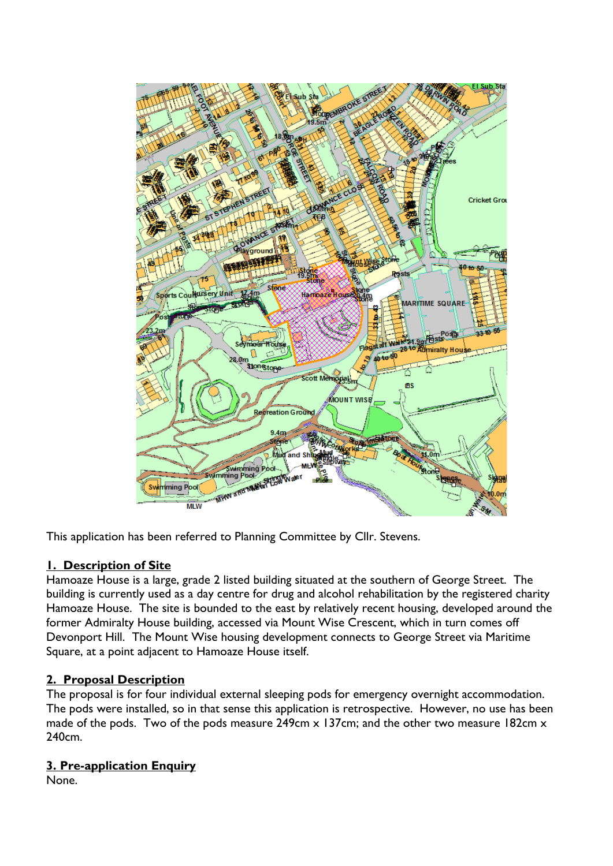

This application has been referred to Planning Committee by Cllr. Stevens.

#### **1. Description of Site**

Hamoaze House is a large, grade 2 listed building situated at the southern of George Street. The building is currently used as a day centre for drug and alcohol rehabilitation by the registered charity Hamoaze House. The site is bounded to the east by relatively recent housing, developed around the former Admiralty House building, accessed via Mount Wise Crescent, which in turn comes off Devonport Hill. The Mount Wise housing development connects to George Street via Maritime Square, at a point adjacent to Hamoaze House itself.

### **2. Proposal Description**

The proposal is for four individual external sleeping pods for emergency overnight accommodation. The pods were installed, so in that sense this application is retrospective. However, no use has been made of the pods. Two of the pods measure 249cm x 137cm; and the other two measure 182cm x 240cm.

#### **3. Pre-application Enquiry**

None.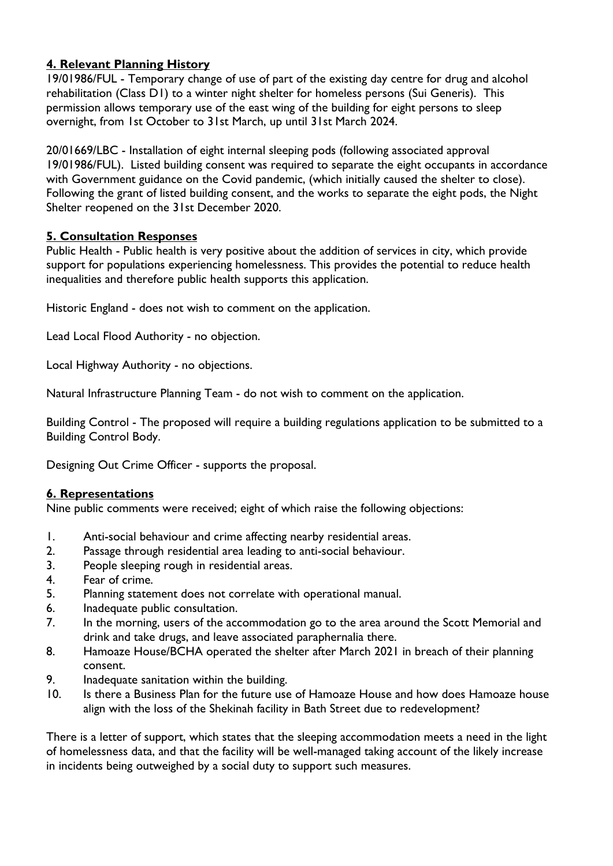### **4. Relevant Planning History**

19/01986/FUL - Temporary change of use of part of the existing day centre for drug and alcohol rehabilitation (Class D1) to a winter night shelter for homeless persons (Sui Generis). This permission allows temporary use of the east wing of the building for eight persons to sleep overnight, from 1st October to 31st March, up until 31st March 2024.

20/01669/LBC - Installation of eight internal sleeping pods (following associated approval 19/01986/FUL). Listed building consent was required to separate the eight occupants in accordance with Government guidance on the Covid pandemic, (which initially caused the shelter to close). Following the grant of listed building consent, and the works to separate the eight pods, the Night Shelter reopened on the 31st December 2020.

#### **5. Consultation Responses**

Public Health - Public health is very positive about the addition of services in city, which provide support for populations experiencing homelessness. This provides the potential to reduce health inequalities and therefore public health supports this application.

Historic England - does not wish to comment on the application.

Lead Local Flood Authority - no objection.

Local Highway Authority - no objections.

Natural Infrastructure Planning Team - do not wish to comment on the application.

Building Control - The proposed will require a building regulations application to be submitted to a Building Control Body.

Designing Out Crime Officer - supports the proposal.

### **6. Representations**

Nine public comments were received; eight of which raise the following objections:

- 1. Anti-social behaviour and crime affecting nearby residential areas.
- 2. Passage through residential area leading to anti-social behaviour.
- 3. People sleeping rough in residential areas.
- 4. Fear of crime.
- 5. Planning statement does not correlate with operational manual.
- 6. Inadequate public consultation.
- 7. In the morning, users of the accommodation go to the area around the Scott Memorial and drink and take drugs, and leave associated paraphernalia there.
- 8. Hamoaze House/BCHA operated the shelter after March 2021 in breach of their planning consent.
- 9. Inadequate sanitation within the building.
- 10. Is there a Business Plan for the future use of Hamoaze House and how does Hamoaze house align with the loss of the Shekinah facility in Bath Street due to redevelopment?

There is a letter of support, which states that the sleeping accommodation meets a need in the light of homelessness data, and that the facility will be well-managed taking account of the likely increase in incidents being outweighed by a social duty to support such measures.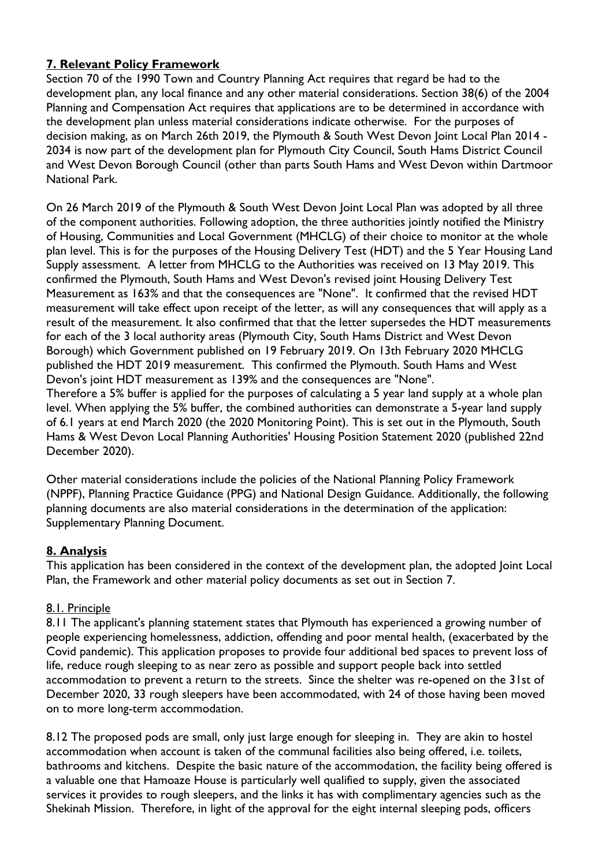### **7. Relevant Policy Framework**

Section 70 of the 1990 Town and Country Planning Act requires that regard be had to the development plan, any local finance and any other material considerations. Section 38(6) of the 2004 Planning and Compensation Act requires that applications are to be determined in accordance with the development plan unless material considerations indicate otherwise. For the purposes of decision making, as on March 26th 2019, the Plymouth & South West Devon Joint Local Plan 2014 - 2034 is now part of the development plan for Plymouth City Council, South Hams District Council and West Devon Borough Council (other than parts South Hams and West Devon within Dartmoor National Park.

On 26 March 2019 of the Plymouth & South West Devon Joint Local Plan was adopted by all three of the component authorities. Following adoption, the three authorities jointly notified the Ministry of Housing, Communities and Local Government (MHCLG) of their choice to monitor at the whole plan level. This is for the purposes of the Housing Delivery Test (HDT) and the 5 Year Housing Land Supply assessment. A letter from MHCLG to the Authorities was received on 13 May 2019. This confirmed the Plymouth, South Hams and West Devon's revised joint Housing Delivery Test Measurement as 163% and that the consequences are "None". It confirmed that the revised HDT measurement will take effect upon receipt of the letter, as will any consequences that will apply as a result of the measurement. It also confirmed that that the letter supersedes the HDT measurements for each of the 3 local authority areas (Plymouth City, South Hams District and West Devon Borough) which Government published on 19 February 2019. On 13th February 2020 MHCLG published the HDT 2019 measurement. This confirmed the Plymouth. South Hams and West Devon's joint HDT measurement as 139% and the consequences are "None". Therefore a 5% buffer is applied for the purposes of calculating a 5 year land supply at a whole plan level. When applying the 5% buffer, the combined authorities can demonstrate a 5-year land supply of 6.1 years at end March 2020 (the 2020 Monitoring Point). This is set out in the Plymouth, South

Other material considerations include the policies of the National Planning Policy Framework (NPPF), Planning Practice Guidance (PPG) and National Design Guidance. Additionally, the following planning documents are also material considerations in the determination of the application: Supplementary Planning Document.

Hams & West Devon Local Planning Authorities' Housing Position Statement 2020 (published 22nd

#### **8. Analysis**

December 2020).

This application has been considered in the context of the development plan, the adopted Joint Local Plan, the Framework and other material policy documents as set out in Section 7.

#### 8.1. Principle

8.11 The applicant's planning statement states that Plymouth has experienced a growing number of people experiencing homelessness, addiction, offending and poor mental health, (exacerbated by the Covid pandemic). This application proposes to provide four additional bed spaces to prevent loss of life, reduce rough sleeping to as near zero as possible and support people back into settled accommodation to prevent a return to the streets. Since the shelter was re-opened on the 31st of December 2020, 33 rough sleepers have been accommodated, with 24 of those having been moved on to more long-term accommodation.

8.12 The proposed pods are small, only just large enough for sleeping in. They are akin to hostel accommodation when account is taken of the communal facilities also being offered, i.e. toilets, bathrooms and kitchens. Despite the basic nature of the accommodation, the facility being offered is a valuable one that Hamoaze House is particularly well qualified to supply, given the associated services it provides to rough sleepers, and the links it has with complimentary agencies such as the Shekinah Mission. Therefore, in light of the approval for the eight internal sleeping pods, officers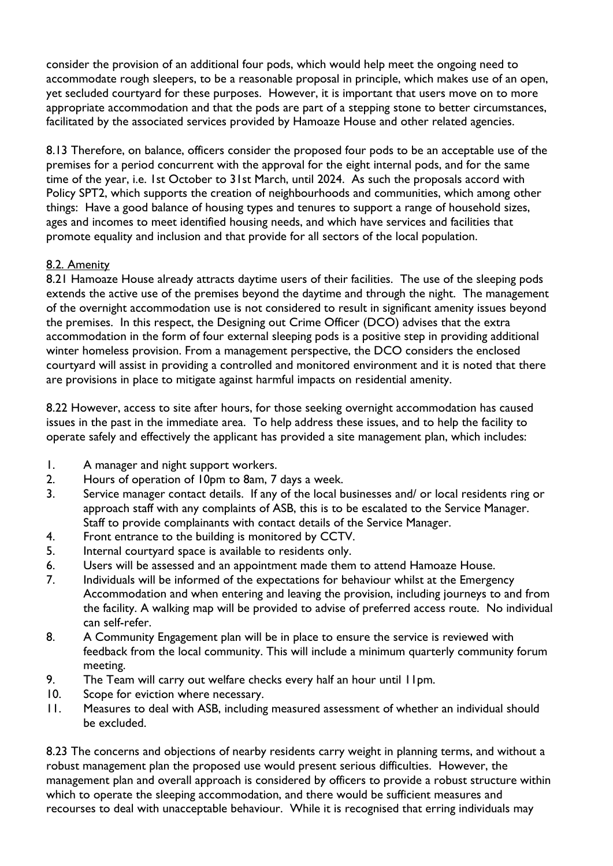consider the provision of an additional four pods, which would help meet the ongoing need to accommodate rough sleepers, to be a reasonable proposal in principle, which makes use of an open, yet secluded courtyard for these purposes. However, it is important that users move on to more appropriate accommodation and that the pods are part of a stepping stone to better circumstances, facilitated by the associated services provided by Hamoaze House and other related agencies.

8.13 Therefore, on balance, officers consider the proposed four pods to be an acceptable use of the premises for a period concurrent with the approval for the eight internal pods, and for the same time of the year, i.e. 1st October to 31st March, until 2024. As such the proposals accord with Policy SPT2, which supports the creation of neighbourhoods and communities, which among other things: Have a good balance of housing types and tenures to support a range of household sizes, ages and incomes to meet identified housing needs, and which have services and facilities that promote equality and inclusion and that provide for all sectors of the local population.

#### 8.2. Amenity

8.21 Hamoaze House already attracts daytime users of their facilities. The use of the sleeping pods extends the active use of the premises beyond the daytime and through the night. The management of the overnight accommodation use is not considered to result in significant amenity issues beyond the premises. In this respect, the Designing out Crime Officer (DCO) advises that the extra accommodation in the form of four external sleeping pods is a positive step in providing additional winter homeless provision. From a management perspective, the DCO considers the enclosed courtyard will assist in providing a controlled and monitored environment and it is noted that there are provisions in place to mitigate against harmful impacts on residential amenity.

8.22 However, access to site after hours, for those seeking overnight accommodation has caused issues in the past in the immediate area. To help address these issues, and to help the facility to operate safely and effectively the applicant has provided a site management plan, which includes:

- 1. A manager and night support workers.
- 2. Hours of operation of 10pm to 8am, 7 days a week.
- 3. Service manager contact details. If any of the local businesses and/ or local residents ring or approach staff with any complaints of ASB, this is to be escalated to the Service Manager. Staff to provide complainants with contact details of the Service Manager.
- 4. Front entrance to the building is monitored by CCTV.
- 5. Internal courtyard space is available to residents only.
- 6. Users will be assessed and an appointment made them to attend Hamoaze House.
- 7. Individuals will be informed of the expectations for behaviour whilst at the Emergency Accommodation and when entering and leaving the provision, including journeys to and from the facility. A walking map will be provided to advise of preferred access route. No individual can self-refer.
- 8. A Community Engagement plan will be in place to ensure the service is reviewed with feedback from the local community. This will include a minimum quarterly community forum meeting.
- 9. The Team will carry out welfare checks every half an hour until 11pm.
- 10. Scope for eviction where necessary.
- 11. Measures to deal with ASB, including measured assessment of whether an individual should be excluded.

8.23 The concerns and objections of nearby residents carry weight in planning terms, and without a robust management plan the proposed use would present serious difficulties. However, the management plan and overall approach is considered by officers to provide a robust structure within which to operate the sleeping accommodation, and there would be sufficient measures and recourses to deal with unacceptable behaviour. While it is recognised that erring individuals may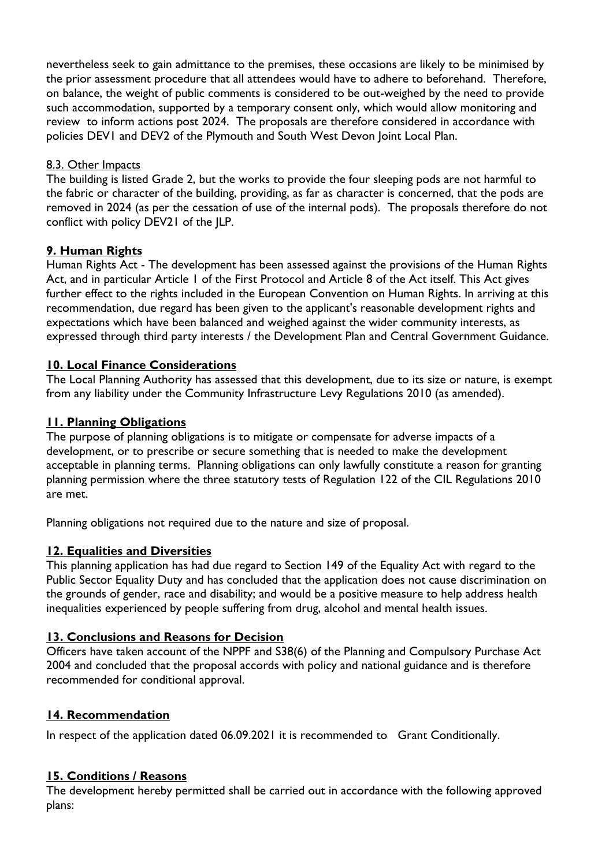nevertheless seek to gain admittance to the premises, these occasions are likely to be minimised by the prior assessment procedure that all attendees would have to adhere to beforehand. Therefore, on balance, the weight of public comments is considered to be out-weighed by the need to provide such accommodation, supported by a temporary consent only, which would allow monitoring and review to inform actions post 2024. The proposals are therefore considered in accordance with policies DEV1 and DEV2 of the Plymouth and South West Devon Joint Local Plan.

#### 8.3. Other Impacts

The building is listed Grade 2, but the works to provide the four sleeping pods are not harmful to the fabric or character of the building, providing, as far as character is concerned, that the pods are removed in 2024 (as per the cessation of use of the internal pods). The proposals therefore do not conflict with policy DEV21 of the JLP.

#### **9. Human Rights**

Human Rights Act - The development has been assessed against the provisions of the Human Rights Act, and in particular Article 1 of the First Protocol and Article 8 of the Act itself. This Act gives further effect to the rights included in the European Convention on Human Rights. In arriving at this recommendation, due regard has been given to the applicant's reasonable development rights and expectations which have been balanced and weighed against the wider community interests, as expressed through third party interests / the Development Plan and Central Government Guidance.

#### **10. Local Finance Considerations**

The Local Planning Authority has assessed that this development, due to its size or nature, is exempt from any liability under the Community Infrastructure Levy Regulations 2010 (as amended).

#### **11. Planning Obligations**

The purpose of planning obligations is to mitigate or compensate for adverse impacts of a development, or to prescribe or secure something that is needed to make the development acceptable in planning terms. Planning obligations can only lawfully constitute a reason for granting planning permission where the three statutory tests of Regulation 122 of the CIL Regulations 2010 are met.

Planning obligations not required due to the nature and size of proposal.

#### **12. Equalities and Diversities**

This planning application has had due regard to Section 149 of the Equality Act with regard to the Public Sector Equality Duty and has concluded that the application does not cause discrimination on the grounds of gender, race and disability; and would be a positive measure to help address health inequalities experienced by people suffering from drug, alcohol and mental health issues.

#### **13. Conclusions and Reasons for Decision**

Officers have taken account of the NPPF and S38(6) of the Planning and Compulsory Purchase Act 2004 and concluded that the proposal accords with policy and national guidance and is therefore recommended for conditional approval.

#### **14. Recommendation**

In respect of the application dated 06.09.2021 it is recommended to Grant Conditionally.

#### **15. Conditions / Reasons**

The development hereby permitted shall be carried out in accordance with the following approved plans: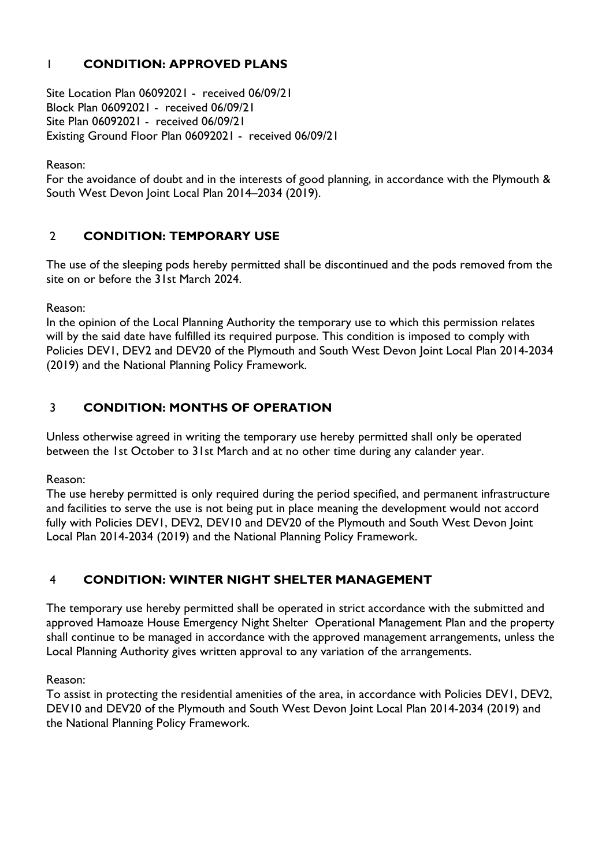## 1 **CONDITION: APPROVED PLANS**

Site Location Plan 06092021 - received 06/09/21 Block Plan 06092021 - received 06/09/21 Site Plan 06092021 - received 06/09/21 Existing Ground Floor Plan 06092021 - received 06/09/21

Reason:

For the avoidance of doubt and in the interests of good planning, in accordance with the Plymouth & South West Devon Joint Local Plan 2014–2034 (2019).

### 2 **CONDITION: TEMPORARY USE**

The use of the sleeping pods hereby permitted shall be discontinued and the pods removed from the site on or before the 31st March 2024.

Reason:

In the opinion of the Local Planning Authority the temporary use to which this permission relates will by the said date have fulfilled its required purpose. This condition is imposed to comply with Policies DEV1, DEV2 and DEV20 of the Plymouth and South West Devon Joint Local Plan 2014-2034 (2019) and the National Planning Policy Framework.

### 3 **CONDITION: MONTHS OF OPERATION**

Unless otherwise agreed in writing the temporary use hereby permitted shall only be operated between the 1st October to 31st March and at no other time during any calander year.

Reason:

The use hereby permitted is only required during the period specified, and permanent infrastructure and facilities to serve the use is not being put in place meaning the development would not accord fully with Policies DEV1, DEV2, DEV10 and DEV20 of the Plymouth and South West Devon Joint Local Plan 2014-2034 (2019) and the National Planning Policy Framework.

## 4 **CONDITION: WINTER NIGHT SHELTER MANAGEMENT**

The temporary use hereby permitted shall be operated in strict accordance with the submitted and approved Hamoaze House Emergency Night Shelter Operational Management Plan and the property shall continue to be managed in accordance with the approved management arrangements, unless the Local Planning Authority gives written approval to any variation of the arrangements.

Reason:

To assist in protecting the residential amenities of the area, in accordance with Policies DEV1, DEV2, DEV10 and DEV20 of the Plymouth and South West Devon Joint Local Plan 2014-2034 (2019) and the National Planning Policy Framework.